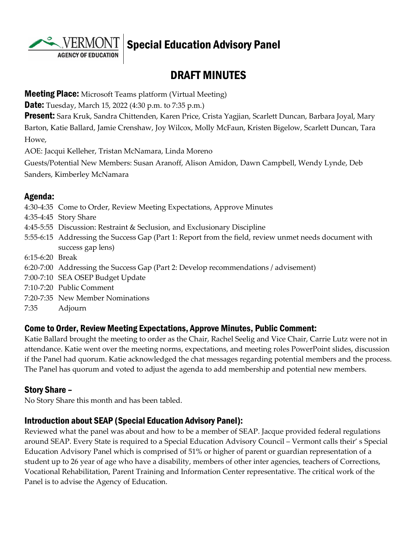**AGENCY OF EDUCATION** 

# Special Education Advisory Panel

# DRAFT MINUTES

**Meeting Place:** Microsoft Teams platform (Virtual Meeting)

**Date:** Tuesday, March 15, 2022 (4:30 p.m. to 7:35 p.m.)

**Present:** Sara Kruk, Sandra Chittenden, Karen Price, Crista Yagjian, Scarlett Duncan, Barbara Joyal, Mary Barton, Katie Ballard, Jamie Crenshaw, Joy Wilcox, Molly McFaun, Kristen Bigelow, Scarlett Duncan, Tara Howe,

AOE: Jacqui Kelleher, Tristan McNamara, Linda Moreno

Guests/Potential New Members: Susan Aranoff, Alison Amidon, Dawn Campbell, Wendy Lynde, Deb Sanders, Kimberley McNamara

# Agenda:

4:30-4:35 Come to Order, Review Meeting Expectations, Approve Minutes 4:35-4:45 Story Share 4:45-5:55 Discussion: Restraint & Seclusion, and Exclusionary Discipline 5:55-6:15 Addressing the Success Gap (Part 1: Report from the field, review unmet needs document with success gap lens) 6:15-6:20 Break 6:20-7:00 Addressing the Success Gap (Part 2: Develop recommendations / advisement) 7:00-7:10 SEA OSEP Budget Update 7:10-7:20 Public Comment 7:20-7:35 New Member Nominations 7:35 Adjourn

## Come to Order, Review Meeting Expectations, Approve Minutes, Public Comment:

Katie Ballard brought the meeting to order as the Chair, Rachel Seelig and Vice Chair, Carrie Lutz were not in attendance. Katie went over the meeting norms, expectations, and meeting roles PowerPoint slides, discussion if the Panel had quorum. Katie acknowledged the chat messages regarding potential members and the process. The Panel has quorum and voted to adjust the agenda to add membership and potential new members.

# Story Share –

No Story Share this month and has been tabled.

# Introduction about SEAP (Special Education Advisory Panel):

Reviewed what the panel was about and how to be a member of SEAP. Jacque provided federal regulations around SEAP. Every State is required to a Special Education Advisory Council – Vermont calls their' s Special Education Advisory Panel which is comprised of 51% or higher of parent or guardian representation of a student up to 26 year of age who have a disability, members of other inter agencies, teachers of Corrections, Vocational Rehabilitation, Parent Training and Information Center representative. The critical work of the Panel is to advise the Agency of Education.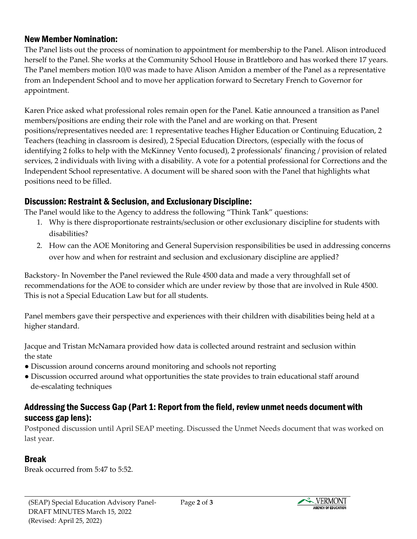#### New Member Nomination:

The Panel lists out the process of nomination to appointment for membership to the Panel. Alison introduced herself to the Panel. She works at the Community School House in Brattleboro and has worked there 17 years. The Panel members motion 10/0 was made to have Alison Amidon a member of the Panel as a representative from an Independent School and to move her application forward to Secretary French to Governor for appointment.

Karen Price asked what professional roles remain open for the Panel. Katie announced a transition as Panel members/positions are ending their role with the Panel and are working on that. Present positions/representatives needed are: 1 representative teaches Higher Education or Continuing Education, 2 Teachers (teaching in classroom is desired), 2 Special Education Directors, (especially with the focus of identifying 2 folks to help with the McKinney Vento focused), 2 professionals' financing / provision of related services, 2 individuals with living with a disability. A vote for a potential professional for Corrections and the Independent School representative. A document will be shared soon with the Panel that highlights what positions need to be filled.

#### Discussion: Restraint & Seclusion, and Exclusionary Discipline:

The Panel would like to the Agency to address the following "Think Tank" questions:

- 1. Why is there disproportionate restraints/seclusion or other exclusionary discipline for students with disabilities?
- 2. How can the AOE Monitoring and General Supervision responsibilities be used in addressing concerns over how and when for restraint and seclusion and exclusionary discipline are applied?

Backstory- In November the Panel reviewed the Rule 4500 data and made a very throughfall set of recommendations for the AOE to consider which are under review by those that are involved in Rule 4500. This is not a Special Education Law but for all students.

Panel members gave their perspective and experiences with their children with disabilities being held at a higher standard.

Jacque and Tristan McNamara provided how data is collected around restraint and seclusion within the state

- Discussion around concerns around monitoring and schools not reporting
- Discussion occurred around what opportunities the state provides to train educational staff around de-escalating techniques

#### Addressing the Success Gap (Part 1: Report from the field, review unmet needs document with success gap lens):

Postponed discussion until April SEAP meeting. Discussed the Unmet Needs document that was worked on last year.

#### Break

Break occurred from 5:47 to 5:52.